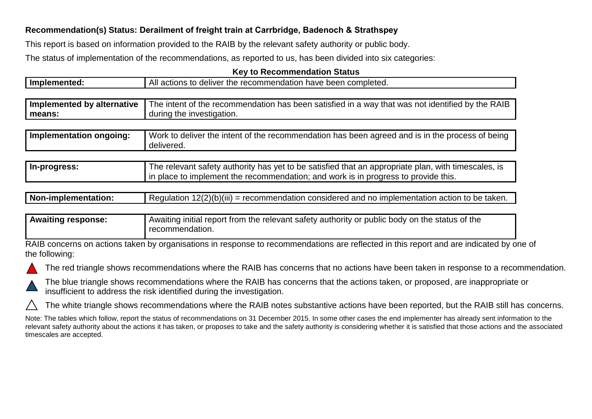## **Recommendation(s) Status: Derailment of freight train at Carrbridge, Badenoch & Strathspey**

This report is based on information provided to the RAIB by the relevant safety authority or public body.

The status of implementation of the recommendations, as reported to us, has been divided into six categories:

## **Key to Recommendation Status**

| Implemented:               | All actions to deliver the recommendation have been completed.                                                                                                                            |  |
|----------------------------|-------------------------------------------------------------------------------------------------------------------------------------------------------------------------------------------|--|
|                            |                                                                                                                                                                                           |  |
| Implemented by alternative | The intent of the recommendation has been satisfied in a way that was not identified by the RAIB                                                                                          |  |
| means:                     | during the investigation.                                                                                                                                                                 |  |
|                            |                                                                                                                                                                                           |  |
| Implementation ongoing:    | Work to deliver the intent of the recommendation has been agreed and is in the process of being<br>delivered.                                                                             |  |
|                            |                                                                                                                                                                                           |  |
| In-progress:               | The relevant safety authority has yet to be satisfied that an appropriate plan, with timescales, is<br>in place to implement the recommendation; and work is in progress to provide this. |  |

| I Regulation $12(2)(b)(iii)$ = recommendation considered and no implementation action to be taken.<br>Non-implementation: |
|---------------------------------------------------------------------------------------------------------------------------|
|---------------------------------------------------------------------------------------------------------------------------|

| <b>Awaiting response:</b> | ' Awaiting initial report from the relevant safety authority or public body on the status of the |
|---------------------------|--------------------------------------------------------------------------------------------------|
|                           | recommendation.                                                                                  |

RAIB concerns on actions taken by organisations in response to recommendations are reflected in this report and are indicated by one of the following:





The blue triangle shows recommendations where the RAIB has concerns that the actions taken, or proposed, are inappropriate or insufficient to address the risk identified during the investigation.

The white triangle shows recommendations where the RAIB notes substantive actions have been reported, but the RAIB still has concerns.

Note: The tables which follow, report the status of recommendations on 31 December 2015. In some other cases the end implementer has already sent information to the relevant safety authority about the actions it has taken, or proposes to take and the safety authority is considering whether it is satisfied that those actions and the associated timescales are accepted.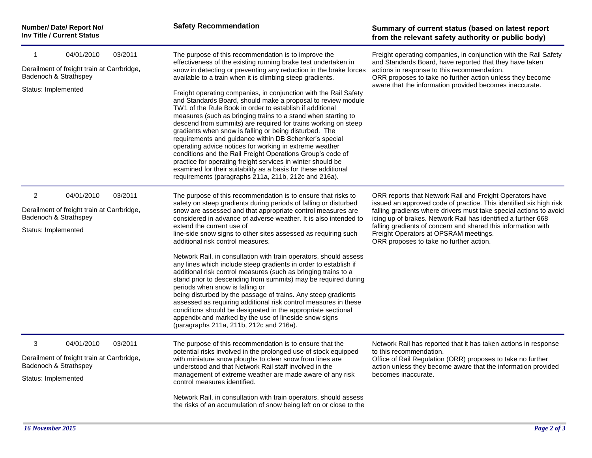| Number/ Date/ Report No/<br><b>Inv Title / Current Status</b>                                                                         | <b>Safety Recommendation</b>                                                                                                                                                                                                                                                                                                                                                                                                                                                                                                                                                                                                                                                                                                                                                                                                                                                                                                                                                                                                     | Summary of current status (based on latest report<br>from the relevant safety authority or public body)                                                                                                                                                                                                                                                                                                                    |
|---------------------------------------------------------------------------------------------------------------------------------------|----------------------------------------------------------------------------------------------------------------------------------------------------------------------------------------------------------------------------------------------------------------------------------------------------------------------------------------------------------------------------------------------------------------------------------------------------------------------------------------------------------------------------------------------------------------------------------------------------------------------------------------------------------------------------------------------------------------------------------------------------------------------------------------------------------------------------------------------------------------------------------------------------------------------------------------------------------------------------------------------------------------------------------|----------------------------------------------------------------------------------------------------------------------------------------------------------------------------------------------------------------------------------------------------------------------------------------------------------------------------------------------------------------------------------------------------------------------------|
| 04/01/2010<br>03/2011<br>1<br>Derailment of freight train at Carrbridge,<br>Badenoch & Strathspey<br>Status: Implemented              | The purpose of this recommendation is to improve the<br>effectiveness of the existing running brake test undertaken in<br>snow in detecting or preventing any reduction in the brake forces<br>available to a train when it is climbing steep gradients.<br>Freight operating companies, in conjunction with the Rail Safety<br>and Standards Board, should make a proposal to review module<br>TW1 of the Rule Book in order to establish if additional<br>measures (such as bringing trains to a stand when starting to<br>descend from summits) are required for trains working on steep                                                                                                                                                                                                                                                                                                                                                                                                                                      | Freight operating companies, in conjunction with the Rail Safety<br>and Standards Board, have reported that they have taken<br>actions in response to this recommendation.<br>ORR proposes to take no further action unless they become<br>aware that the information provided becomes inaccurate.                                                                                                                         |
|                                                                                                                                       | gradients when snow is falling or being disturbed. The<br>requirements and guidance within DB Schenker's special<br>operating advice notices for working in extreme weather<br>conditions and the Rail Freight Operations Group's code of<br>practice for operating freight services in winter should be<br>examined for their suitability as a basis for these additional<br>requirements (paragraphs 211a, 211b, 212c and 216a).                                                                                                                                                                                                                                                                                                                                                                                                                                                                                                                                                                                               |                                                                                                                                                                                                                                                                                                                                                                                                                            |
| $\overline{2}$<br>04/01/2010<br>03/2011<br>Derailment of freight train at Carrbridge,<br>Badenoch & Strathspey<br>Status: Implemented | The purpose of this recommendation is to ensure that risks to<br>safety on steep gradients during periods of falling or disturbed<br>snow are assessed and that appropriate control measures are<br>considered in advance of adverse weather. It is also intended to<br>extend the current use of<br>line-side snow signs to other sites assessed as requiring such<br>additional risk control measures.<br>Network Rail, in consultation with train operators, should assess<br>any lines which include steep gradients in order to establish if<br>additional risk control measures (such as bringing trains to a<br>stand prior to descending from summits) may be required during<br>periods when snow is falling or<br>being disturbed by the passage of trains. Any steep gradients<br>assessed as requiring additional risk control measures in these<br>conditions should be designated in the appropriate sectional<br>appendix and marked by the use of lineside snow signs<br>(paragraphs 211a, 211b, 212c and 216a). | ORR reports that Network Rail and Freight Operators have<br>issued an approved code of practice. This identified six high risk<br>falling gradients where drivers must take special actions to avoid<br>icing up of brakes. Network Rail has identified a further 668<br>falling gradients of concern and shared this information with<br>Freight Operators at OPSRAM meetings.<br>ORR proposes to take no further action. |
| 3<br>04/01/2010<br>03/2011<br>Derailment of freight train at Carrbridge,<br>Badenoch & Strathspey<br>Status: Implemented              | The purpose of this recommendation is to ensure that the<br>potential risks involved in the prolonged use of stock equipped<br>with miniature snow ploughs to clear snow from lines are<br>understood and that Network Rail staff involved in the<br>management of extreme weather are made aware of any risk<br>control measures identified.<br>Network Rail, in consultation with train operators, should assess<br>the risks of an accumulation of snow being left on or close to the                                                                                                                                                                                                                                                                                                                                                                                                                                                                                                                                         | Network Rail has reported that it has taken actions in response<br>to this recommendation.<br>Office of Rail Regulation (ORR) proposes to take no further<br>action unless they become aware that the information provided<br>becomes inaccurate.                                                                                                                                                                          |